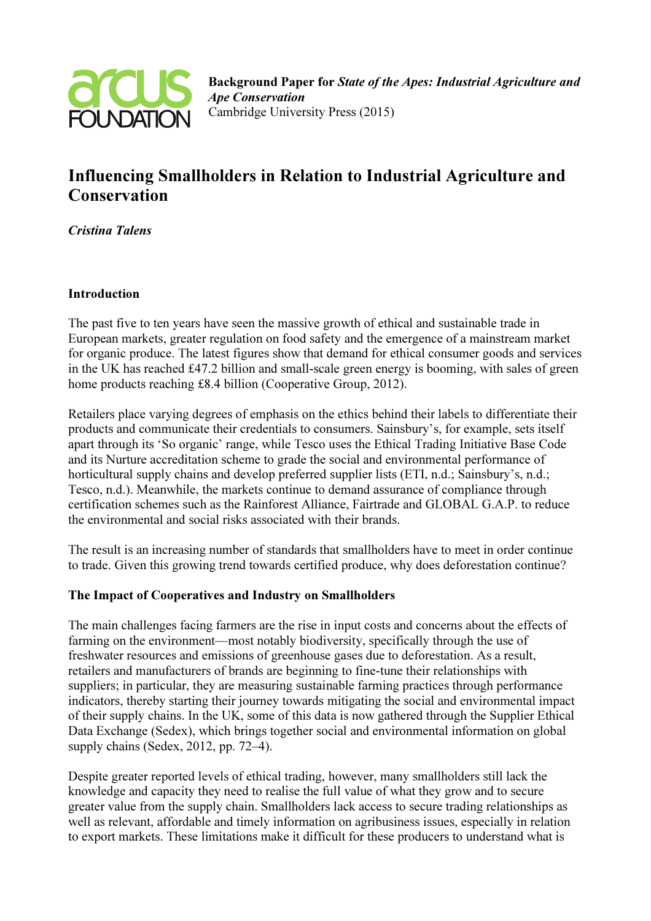

# Influencing Smallholders in Relation to Industrial Agriculture and **Conservation**

Cristina Talens

### Introduction

The past five to ten years have seen the massive growth of ethical and sustainable trade in European markets, greater regulation on food safety and the emergence of a mainstream market for organic produce. The latest figures show that demand for ethical consumer goods and services in the UK has reached £47.2 billion and small-scale green energy is booming, with sales of green home products reaching £8.4 billion (Cooperative Group, 2012).

Retailers place varying degrees of emphasis on the ethics behind their labels to differentiate their products and communicate their credentials to consumers. Sainsbury's, for example, sets itself apart through its 'So organic' range, while Tesco uses the Ethical Trading Initiative Base Code and its Nurture accreditation scheme to grade the social and environmental performance of horticultural supply chains and develop preferred supplier lists (ETI, n.d.; Sainsbury's, n.d.; Tesco, n.d.). Meanwhile, the markets continue to demand assurance of compliance through certification schemes such as the Rainforest Alliance, Fairtrade and GLOBAL G.A.P. to reduce the environmental and social risks associated with their brands.

The result is an increasing number of standards that smallholders have to meet in order continue to trade. Given this growing trend towards certified produce, why does deforestation continue?

## The Impact of Cooperatives and Industry on Smallholders

The main challenges facing farmers are the rise in input costs and concerns about the effects of farming on the environment—most notably biodiversity, specifically through the use of freshwater resources and emissions of greenhouse gases due to deforestation. As a result, retailers and manufacturers of brands are beginning to fine-tune their relationships with suppliers; in particular, they are measuring sustainable farming practices through performance indicators, thereby starting their journey towards mitigating the social and environmental impact of their supply chains. In the UK, some of this data is now gathered through the Supplier Ethical Data Exchange (Sedex), which brings together social and environmental information on global supply chains (Sedex, 2012, pp. 72–4).

Despite greater reported levels of ethical trading, however, many smallholders still lack the knowledge and capacity they need to realise the full value of what they grow and to secure greater value from the supply chain. Smallholders lack access to secure trading relationships as well as relevant, affordable and timely information on agribusiness issues, especially in relation to export markets. These limitations make it difficult for these producers to understand what is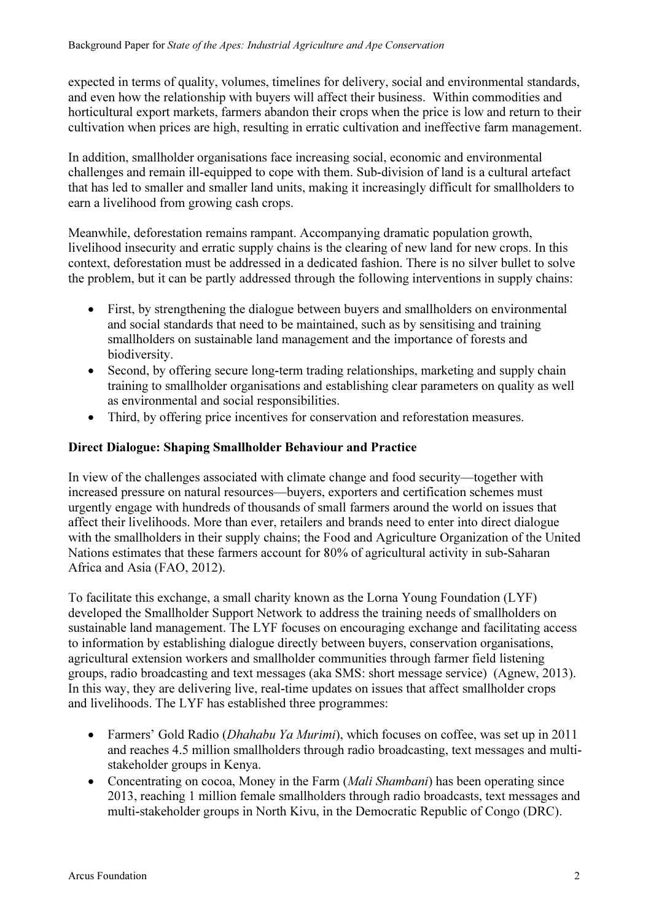expected in terms of quality, volumes, timelines for delivery, social and environmental standards, and even how the relationship with buyers will affect their business. Within commodities and horticultural export markets, farmers abandon their crops when the price is low and return to their cultivation when prices are high, resulting in erratic cultivation and ineffective farm management.

In addition, smallholder organisations face increasing social, economic and environmental challenges and remain ill-equipped to cope with them. Sub-division of land is a cultural artefact that has led to smaller and smaller land units, making it increasingly difficult for smallholders to earn a livelihood from growing cash crops.

Meanwhile, deforestation remains rampant. Accompanying dramatic population growth, livelihood insecurity and erratic supply chains is the clearing of new land for new crops. In this context, deforestation must be addressed in a dedicated fashion. There is no silver bullet to solve the problem, but it can be partly addressed through the following interventions in supply chains:

- First, by strengthening the dialogue between buyers and smallholders on environmental and social standards that need to be maintained, such as by sensitising and training smallholders on sustainable land management and the importance of forests and biodiversity.
- Second, by offering secure long-term trading relationships, marketing and supply chain training to smallholder organisations and establishing clear parameters on quality as well as environmental and social responsibilities.
- Third, by offering price incentives for conservation and reforestation measures.

## Direct Dialogue: Shaping Smallholder Behaviour and Practice

In view of the challenges associated with climate change and food security—together with increased pressure on natural resources—buyers, exporters and certification schemes must urgently engage with hundreds of thousands of small farmers around the world on issues that affect their livelihoods. More than ever, retailers and brands need to enter into direct dialogue with the smallholders in their supply chains; the Food and Agriculture Organization of the United Nations estimates that these farmers account for 80% of agricultural activity in sub-Saharan Africa and Asia (FAO, 2012).

To facilitate this exchange, a small charity known as the Lorna Young Foundation (LYF) developed the Smallholder Support Network to address the training needs of smallholders on sustainable land management. The LYF focuses on encouraging exchange and facilitating access to information by establishing dialogue directly between buyers, conservation organisations, agricultural extension workers and smallholder communities through farmer field listening groups, radio broadcasting and text messages (aka SMS: short message service) (Agnew, 2013). In this way, they are delivering live, real-time updates on issues that affect smallholder crops and livelihoods. The LYF has established three programmes:

- Farmers' Gold Radio (*Dhahabu Ya Murimi*), which focuses on coffee, was set up in 2011 and reaches 4.5 million smallholders through radio broadcasting, text messages and multistakeholder groups in Kenya.
- Concentrating on cocoa, Money in the Farm (Mali Shambani) has been operating since 2013, reaching 1 million female smallholders through radio broadcasts, text messages and multi-stakeholder groups in North Kivu, in the Democratic Republic of Congo (DRC).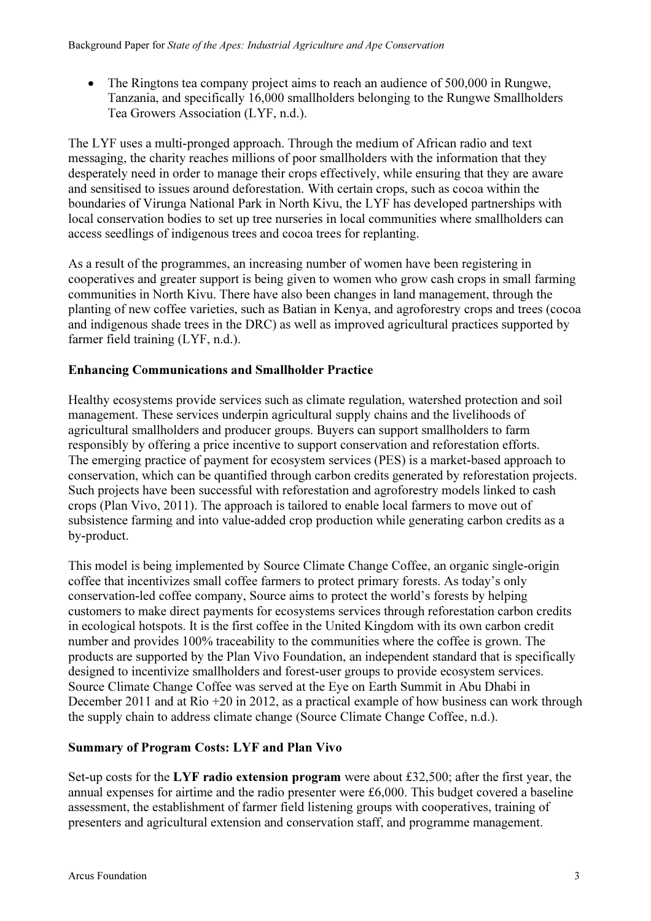• The Ringtons tea company project aims to reach an audience of 500,000 in Rungwe, Tanzania, and specifically 16,000 smallholders belonging to the Rungwe Smallholders Tea Growers Association (LYF, n.d.).

The LYF uses a multi-pronged approach. Through the medium of African radio and text messaging, the charity reaches millions of poor smallholders with the information that they desperately need in order to manage their crops effectively, while ensuring that they are aware and sensitised to issues around deforestation. With certain crops, such as cocoa within the boundaries of Virunga National Park in North Kivu, the LYF has developed partnerships with local conservation bodies to set up tree nurseries in local communities where smallholders can access seedlings of indigenous trees and cocoa trees for replanting.

As a result of the programmes, an increasing number of women have been registering in cooperatives and greater support is being given to women who grow cash crops in small farming communities in North Kivu. There have also been changes in land management, through the planting of new coffee varieties, such as Batian in Kenya, and agroforestry crops and trees (cocoa and indigenous shade trees in the DRC) as well as improved agricultural practices supported by farmer field training (LYF, n.d.).

## Enhancing Communications and Smallholder Practice

Healthy ecosystems provide services such as climate regulation, watershed protection and soil management. These services underpin agricultural supply chains and the livelihoods of agricultural smallholders and producer groups. Buyers can support smallholders to farm responsibly by offering a price incentive to support conservation and reforestation efforts. The emerging practice of payment for ecosystem services (PES) is a market-based approach to conservation, which can be quantified through carbon credits generated by reforestation projects. Such projects have been successful with reforestation and agroforestry models linked to cash crops (Plan Vivo, 2011). The approach is tailored to enable local farmers to move out of subsistence farming and into value-added crop production while generating carbon credits as a by-product.

This model is being implemented by Source Climate Change Coffee, an organic single-origin coffee that incentivizes small coffee farmers to protect primary forests. As today's only conservation-led coffee company, Source aims to protect the world's forests by helping customers to make direct payments for ecosystems services through reforestation carbon credits in ecological hotspots. It is the first coffee in the United Kingdom with its own carbon credit number and provides 100% traceability to the communities where the coffee is grown. The products are supported by the Plan Vivo Foundation, an independent standard that is specifically designed to incentivize smallholders and forest-user groups to provide ecosystem services. Source Climate Change Coffee was served at the Eye on Earth Summit in Abu Dhabi in December 2011 and at Rio +20 in 2012, as a practical example of how business can work through the supply chain to address climate change (Source Climate Change Coffee, n.d.).

## Summary of Program Costs: LYF and Plan Vivo

Set-up costs for the LYF radio extension program were about £32,500; after the first year, the annual expenses for airtime and the radio presenter were £6,000. This budget covered a baseline assessment, the establishment of farmer field listening groups with cooperatives, training of presenters and agricultural extension and conservation staff, and programme management.